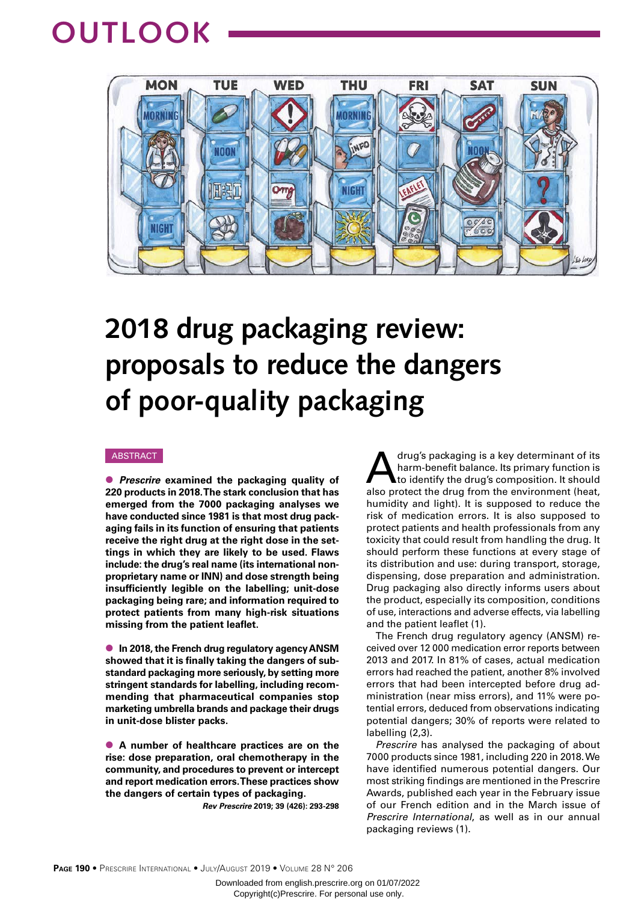## **OUTLOOK**



# **2018 drug packaging review: proposals to reduce the dangers of poor-quality packaging**

#### ABSTRACT

● *Prescrire* **examined the packaging quality of 220 products in 2018. The stark conclusion that has emerged from the 7000 packaging analyses we have conducted since 1981 is that most drug packaging fails in its function of ensuring that patients receive the right drug at the right dose in the settings in which they are likely to be used. Flaws include: the drug's real name (its international nonproprietary name or INN) and dose strength being insufficiently legible on the labelling; unit-dose packaging being rare; and information required to protect patients from many high-risk situations missing from the patient leaflet.**

● **In 2018, the French drug regulatory agency ANSM showed that it is finally taking the dangers of substandard packaging more seriously, by setting more stringent standards for labelling, including recommending that pharmaceutical companies stop marketing umbrella brands and package their drugs in unit-dose blister packs.** 

● **A number of healthcare practices are on the rise: dose preparation, oral chemotherapy in the community, and procedures to prevent or intercept and report medication errors. These practices show the dangers of certain types of packaging.**

*Rev Prescrire* **2019; 39 (426): 293-298**

drug's packaging is a key determinant of its<br>harm-benefit balance. Its primary function is<br>to identify the drug's composition. It should harm-benefit balance. Its primary function is to identify the drug's composition. It should also protect the drug from the environment (heat, humidity and light). It is supposed to reduce the risk of medication errors. It is also supposed to protect patients and health professionals from any toxicity that could result from handling the drug. It should perform these functions at every stage of its distribution and use: during transport, storage, dispensing, dose preparation and administration. Drug packaging also directly informs users about the product, especially its composition, conditions of use, interactions and adverse effects, via labelling and the patient leaflet (1).

The French drug regulatory agency (ANSM) received over 12 000 medication error reports between 2013 and 2017. In 81% of cases, actual medication errors had reached the patient, another 8% involved errors that had been intercepted before drug administration (near miss errors), and 11% were potential errors, deduced from observations indicating potential dangers; 30% of reports were related to labelling (2,3).

*Prescrire* has analysed the packaging of about 7000 products since 1981, including 220 in 2018. We have identified numerous potential dangers. Our most striking findings are mentioned in the Prescrire Awards, published each year in the February issue of our French edition and in the March issue of *Prescrire International*, as well as in our annual packaging reviews (1).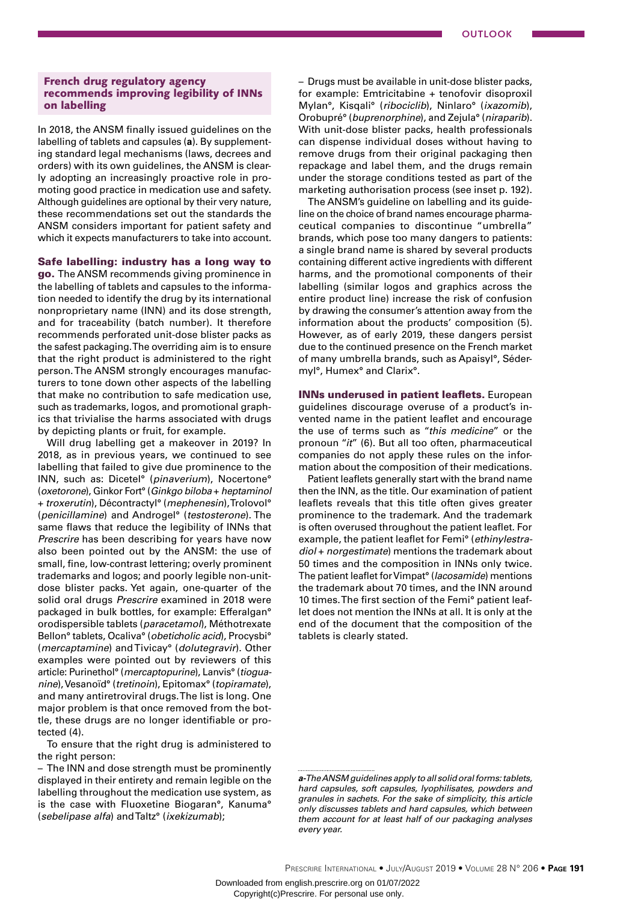## French drug regulatory agency recommends improving legibility of INNs on labelling

In 2018, the ANSM finally issued guidelines on the labelling of tablets and capsules (**a**). By supplementing standard legal mechanisms (laws, decrees and orders) with its own guidelines, the ANSM is clearly adopting an increasingly proactive role in promoting good practice in medication use and safety. Although guidelines are optional by their very nature, these recommendations set out the standards the ANSM considers important for patient safety and which it expects manufacturers to take into account.

## Safe labelling: industry has a long way to

go. The ANSM recommends giving prominence in the labelling of tablets and capsules to the information needed to identify the drug by its international nonproprietary name (INN) and its dose strength, and for traceability (batch number). It therefore recommends perforated unit-dose blister packs as the safest packaging. The overriding aim is to ensure that the right product is administered to the right person. The ANSM strongly encourages manufacturers to tone down other aspects of the labelling that make no contribution to safe medication use, such as trademarks, logos, and promotional graphics that trivialise the harms associated with drugs by depicting plants or fruit, for example.

Will drug labelling get a makeover in 2019? In 2018, as in previous years, we continued to see labelling that failed to give due prominence to the INN, such as: Dicetel° (*pinaverium*), Nocertone° (*oxetorone*), Ginkor Fort° (*Ginkgo biloba* + *heptaminol*  + *troxerutin*), Décontractyl° (*mephenesin*), Trolovol° (*penicillamine*) and Androgel° (*testosterone*). The same flaws that reduce the legibility of INNs that *Prescrire* has been describing for years have now also been pointed out by the ANSM: the use of small, fine, low-contrast lettering; overly prominent trademarks and logos; and poorly legible non-unitdose blister packs. Yet again, one-quarter of the solid oral drugs *Prescrire* examined in 2018 were packaged in bulk bottles, for example: Efferalgan° orodispersible tablets (*paracetamol*), Méthotrexate Bellon° tablets, Ocaliva° (*obeticholic acid*), Procysbi° (*mercaptamine*) and Tivicay° (*dolutegravir*). Other examples were pointed out by reviewers of this article: Purinethol° (*mercaptopurine*), Lanvis° (*tioguanine*), Vesanoïd° (*tretinoin*), Epitomax° (*topiramate*), and many antiretroviral drugs. The list is long. One major problem is that once removed from the bottle, these drugs are no longer identifiable or protected (4).

To ensure that the right drug is administered to the right person:

– The INN and dose strength must be prominently displayed in their entirety and remain legible on the labelling throughout the medication use system, as is the case with Fluoxetine Biogaran°, Kanuma° (*sebelipase alfa*) and Taltz° (*ixekizumab*);

– Drugs must be available in unit-dose blister packs, for example: Emtricitabine + tenofovir disoproxil Mylan°, Kisqali° (*ribociclib*), Ninlaro° (*ixazomib*), Orobupré° (*buprenorphine*), and Zejula° (*niraparib*). With unit-dose blister packs, health professionals can dispense individual doses without having to remove drugs from their original packaging then repackage and label them, and the drugs remain under the storage conditions tested as part of the marketing authorisation process (see inset p. 192).

The ANSM's guideline on labelling and its guideline on the choice of brand names encourage pharmaceutical companies to discontinue "umbrella" brands, which pose too many dangers to patients: a single brand name is shared by several products containing different active ingredients with different harms, and the promotional components of their labelling (similar logos and graphics across the entire product line) increase the risk of confusion by drawing the consumer's attention away from the information about the products' composition (5). However, as of early 2019, these dangers persist due to the continued presence on the French market of many umbrella brands, such as Apaisyl°, Sédermyl°, Humex° and Clarix°.

INNs underused in patient leaflets. European guidelines discourage overuse of a product's invented name in the patient leaflet and encourage the use of terms such as "*this medicine*" or the pronoun "*it*" (6). But all too often, pharmaceutical companies do not apply these rules on the information about the composition of their medications.

Patient leaflets generally start with the brand name then the INN, as the title. Our examination of patient leaflets reveals that this title often gives greater prominence to the trademark. And the trademark is often overused throughout the patient leaflet. For example, the patient leaflet for Femi° (*ethinylestradiol* + *norgestimate*) mentions the trademark about 50 times and the composition in INNs only twice. The patient leaflet for Vimpat° (*lacosamide*) mentions the trademark about 70 times, and the INN around 10 times. The first section of the Femi° patient leaflet does not mention the INNs at all. It is only at the end of the document that the composition of the tablets is clearly stated.

Downloaded from english.prescrire.org on 01/07/2022 Copyright(c)Prescrire. For personal use only.

*a- The ANSM guidelines apply to all solid oral forms: tablets, hard capsules, soft capsules, lyophilisates, powders and granules in sachets. For the sake of simplicity, this article only discusses tablets and hard capsules, which between them account for at least half of our packaging analyses every year.*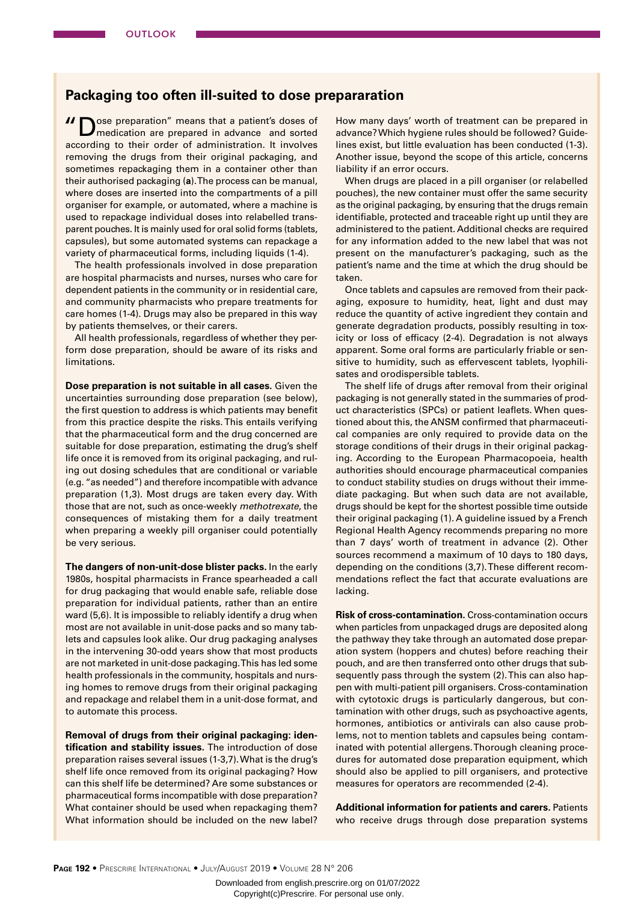## **Packaging too often ill-suited to dose prepararation**

**II** Ose preparation" means that a patient's doses of medication are prepared in advance and sorted according to their order of administration. It involves removing the drugs from their original packaging, and sometimes repackaging them in a container other than their authorised packaging (**a**). The process can be manual, where doses are inserted into the compartments of a pill organiser for example, or automated, where a machine is used to repackage individual doses into relabelled transparent pouches. It is mainly used for oral solid forms (tablets, capsules), but some automated systems can repackage a variety of pharmaceutical forms, including liquids (1-4).

The health professionals involved in dose preparation are hospital pharmacists and nurses, nurses who care for dependent patients in the community or in residential care, and community pharmacists who prepare treatments for care homes (1-4). Drugs may also be prepared in this way by patients themselves, or their carers.

All health professionals, regardless of whether they perform dose preparation, should be aware of its risks and limitations.

**Dose preparation is not suitable in all cases.** Given the uncertainties surrounding dose preparation (see below), the first question to address is which patients may benefit from this practice despite the risks. This entails verifying that the pharmaceutical form and the drug concerned are suitable for dose preparation, estimating the drug's shelf life once it is removed from its original packaging, and ruling out dosing schedules that are conditional or variable (e.g. "as needed") and therefore incompatible with advance preparation (1,3). Most drugs are taken every day. With those that are not, such as once-weekly *methotrexate*, the consequences of mistaking them for a daily treatment when preparing a weekly pill organiser could potentially be very serious.

**The dangers of non-unit-dose blister packs.** In the early 1980s, hospital pharmacists in France spearheaded a call for drug packaging that would enable safe, reliable dose preparation for individual patients, rather than an entire ward (5,6). It is impossible to reliably identify a drug when most are not available in unit-dose packs and so many tablets and capsules look alike. Our drug packaging analyses in the intervening 30-odd years show that most products are not marketed in unit-dose packaging. This has led some health professionals in the community, hospitals and nursing homes to remove drugs from their original packaging and repackage and relabel them in a unit-dose format, and to automate this process.

**Removal of drugs from their original packaging: identification and stability issues.** The introduction of dose preparation raises several issues (1-3,7). What is the drug's shelf life once removed from its original packaging? How can this shelf life be determined? Are some substances or pharmaceutical forms incompatible with dose preparation? What container should be used when repackaging them? What information should be included on the new label? How many days' worth of treatment can be prepared in advance? Which hygiene rules should be followed? Guidelines exist, but little evaluation has been conducted (1-3). Another issue, beyond the scope of this article, concerns liability if an error occurs.

When drugs are placed in a pill organiser (or relabelled pouches), the new container must offer the same security as the original packaging, by ensuring that the drugs remain identifiable, protected and traceable right up until they are administered to the patient. Additional checks are required for any information added to the new label that was not present on the manufacturer's packaging, such as the patient's name and the time at which the drug should be taken.

Once tablets and capsules are removed from their packaging, exposure to humidity, heat, light and dust may reduce the quantity of active ingredient they contain and generate degradation products, possibly resulting in toxicity or loss of efficacy (2-4). Degradation is not always apparent. Some oral forms are particularly friable or sensitive to humidity, such as effervescent tablets, lyophilisates and orodispersible tablets.

The shelf life of drugs after removal from their original packaging is not generally stated in the summaries of product characteristics (SPCs) or patient leaflets. When questioned about this, the ANSM confirmed that pharmaceutical companies are only required to provide data on the storage conditions of their drugs in their original packaging. According to the European Pharmacopoeia, health authorities should encourage pharmaceutical companies to conduct stability studies on drugs without their immediate packaging. But when such data are not available, drugs should be kept for the shortest possible time outside their original packaging (1). A guideline issued by a French Regional Health Agency recommends preparing no more than 7 days' worth of treatment in advance (2). Other sources recommend a maximum of 10 days to 180 days, depending on the conditions (3,7). These different recommendations reflect the fact that accurate evaluations are lacking.

**Risk of cross-contamination.** Cross-contamination occurs when particles from unpackaged drugs are deposited along the pathway they take through an automated dose preparation system (hoppers and chutes) before reaching their pouch, and are then transferred onto other drugs that subsequently pass through the system (2). This can also happen with multi-patient pill organisers. Cross-contamination with cytotoxic drugs is particularly dangerous, but contamination with other drugs, such as psychoactive agents, hormones, antibiotics or antivirals can also cause problems, not to mention tablets and capsules being contaminated with potential allergens. Thorough cleaning procedures for automated dose preparation equipment, which should also be applied to pill organisers, and protective measures for operators are recommended (2-4).

**Additional information for patients and carers.** Patients who receive drugs through dose preparation systems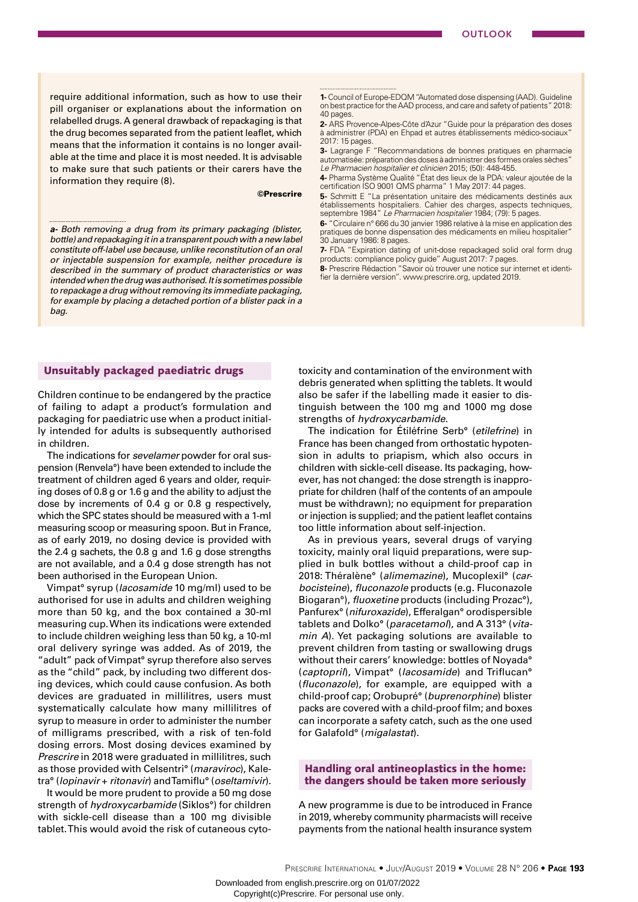require additional information, such as how to use their pill organiser or explanations about the information on relabelled drugs. A general drawback of repackaging is that the drug becomes separated from the patient leaflet, which means that the information it contains is no longer available at the time and place it is most needed. It is advisable to make sure that such patients or their carers have the information they require (8).

#### ©Prescrire

*a- Both removing a drug from its primary packaging (blister, bottle) and repackaging it in a transparent pouch with a new label constitute off-label use because, unlike reconstitution of an oral or injectable suspension for example, neither procedure is described in the summary of product characteristics or was intended when the drug was authorised. It is sometimes possible to repackage a drug without removing its immediate packaging, for example by placing a detached portion of a blister pack in a bag.*

## Unsuitably packaged paediatric drugs

Children continue to be endangered by the practice of failing to adapt a product's formulation and packaging for paediatric use when a product initially intended for adults is subsequently authorised in children.

The indications for *sevelamer* powder for oral suspension (Renvela°) have been extended to include the treatment of children aged 6 years and older, requiring doses of 0.8 g or 1.6 g and the ability to adjust the dose by increments of 0.4 g or 0.8 g respectively, which the SPC states should be measured with a 1-ml measuring scoop or measuring spoon. But in France, as of early 2019, no dosing device is provided with the 2.4 g sachets, the 0.8 g and 1.6 g dose strengths are not available, and a 0.4 g dose strength has not been authorised in the European Union.

Vimpat° syrup (*lacosamide* 10 mg/ml) used to be authorised for use in adults and children weighing more than 50 kg, and the box contained a 30-ml measuring cup. When its indications were extended to include children weighing less than 50 kg, a 10-ml oral delivery syringe was added. As of 2019, the "adult" pack of Vimpat° syrup therefore also serves as the "child" pack, by including two different dosing devices, which could cause confusion. As both devices are graduated in millilitres, users must systematically calculate how many millilitres of syrup to measure in order to administer the number of milligrams prescribed, with a risk of ten-fold dosing errors. Most dosing devices examined by *Prescrire* in 2018 were graduated in millilitres, such as those provided with Celsentri° (*maraviroc*), Kaletra° (*lopinavir* + *ritonavir*) and Tamiflu° (*oseltamivir*).

It would be more prudent to provide a 50 mg dose strength of *hydroxycarbamide* (Siklos°) for children with sickle-cell disease than a 100 mg divisible tablet. This would avoid the risk of cutaneous cyto**1-** Council of Europe-EDQM "Automated dose dispensing (AAD). Guideline on best practice for the AAD process, and care and safety of patients" 2018: 40 pages.

**2-** ARS Provence-Alpes-Côte d'Azur "Guide pour la préparation des doses à administrer (PDA) en Ehpad et autres établissements médico-sociaux' 2017: 15 pages.

**3-** Lagrange F "Recommandations de bonnes pratiques en pharmacie automatisée: préparation des doses à administrer des formes orales sèches" *Le Pharmacien hospitalier et clinicien* 2015; (50): 448-455.

**4-** Pharma Système Qualité "État des lieux de la PDA: valeur ajoutée de la certification ISO 9001 QMS pharma" 1 May 2017: 44 pages.

**5-** Schmitt E "La présentation unitaire des médicaments destinés aux établissements hospitaliers. Cahier des charges, aspects techniques, septembre 1984" *Le Pharmacien hospitalier* 1984; (79): 5 pages.

**6-** "Circulaire n° 666 du 30 janvier 1986 relative à la mise en application des pratiques de bonne dispensation des médicaments en milieu hospitalier" 30 January 1986: 8 pages.

**7-** FDA "Expiration dating of unit-dose repackaged solid oral form drug products: compliance policy guide" August 2017: 7 pages.

**8-** Prescrire Rédaction "Savoir où trouver une notice sur internet et identifier la dernière version". www.prescrire.org, updated 2019.

toxicity and contamination of the environment with debris generated when splitting the tablets. It would also be safer if the labelling made it easier to distinguish between the 100 mg and 1000 mg dose strengths of *hydroxycarbamide*.

The indication for Étiléfrine Serb° (*etilefrine*) in France has been changed from orthostatic hypotension in adults to priapism, which also occurs in children with sickle-cell disease. Its packaging, however, has not changed: the dose strength is inappropriate for children (half of the contents of an ampoule must be withdrawn); no equipment for preparation or injection is supplied; and the patient leaflet contains too little information about self-injection.

As in previous years, several drugs of varying toxicity, mainly oral liquid preparations, were supplied in bulk bottles without a child-proof cap in 2018: Théralène° (*alimemazine*), Mucoplexil° (*carbocisteine*), *fluconazole* products (e.g. Fluconazole Biogaran°), *fluoxetine* products (including Prozac°), Panfurex° (*nifuroxazide*), Efferalgan° orodispersible tablets and Dolko° (*paracetamol*), and A 313° (*vitamin A*). Yet packaging solutions are available to prevent children from tasting or swallowing drugs without their carers' knowledge: bottles of Noyada° (*captopril*), Vimpat° (*lacosamide*) and Triflucan° (*fluconazole*), for example, are equipped with a child-proof cap; Orobupré° (*buprenorphine*) blister packs are covered with a child-proof film; and boxes can incorporate a safety catch, such as the one used for Galafold° (*migalastat*).

## Handling oral antineoplastics in the home: the dangers should be taken more seriously

A new programme is due to be introduced in France in 2019, whereby community pharmacists will receive payments from the national health insurance system